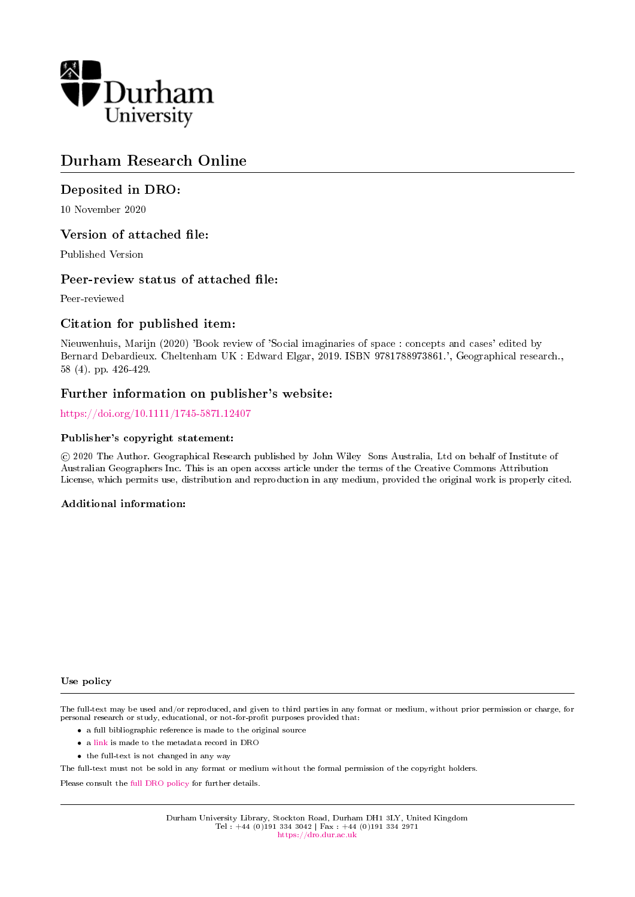

## Durham Research Online

## Deposited in DRO:

10 November 2020

## Version of attached file:

Published Version

## Peer-review status of attached file:

Peer-reviewed

## Citation for published item:

Nieuwenhuis, Marijn (2020) 'Book review of 'Social imaginaries of space : concepts and cases' edited by Bernard Debardieux. Cheltenham UK : Edward Elgar, 2019. ISBN 9781788973861.', Geographical research., 58 (4). pp. 426-429.

## Further information on publisher's website:

<https://doi.org/10.1111/1745-5871.12407>

#### Publisher's copyright statement:

 c 2020 The Author. Geographical Research published by John Wiley Sons Australia, Ltd on behalf of Institute of Australian Geographers Inc. This is an open access article under the terms of the Creative Commons Attribution License, which permits use, distribution and reproduction in any medium, provided the original work is properly cited.

#### Additional information:

#### Use policy

The full-text may be used and/or reproduced, and given to third parties in any format or medium, without prior permission or charge, for personal research or study, educational, or not-for-profit purposes provided that:

- a full bibliographic reference is made to the original source
- a [link](http://dro.dur.ac.uk/30689/) is made to the metadata record in DRO
- the full-text is not changed in any way

The full-text must not be sold in any format or medium without the formal permission of the copyright holders.

Please consult the [full DRO policy](https://dro.dur.ac.uk/policies/usepolicy.pdf) for further details.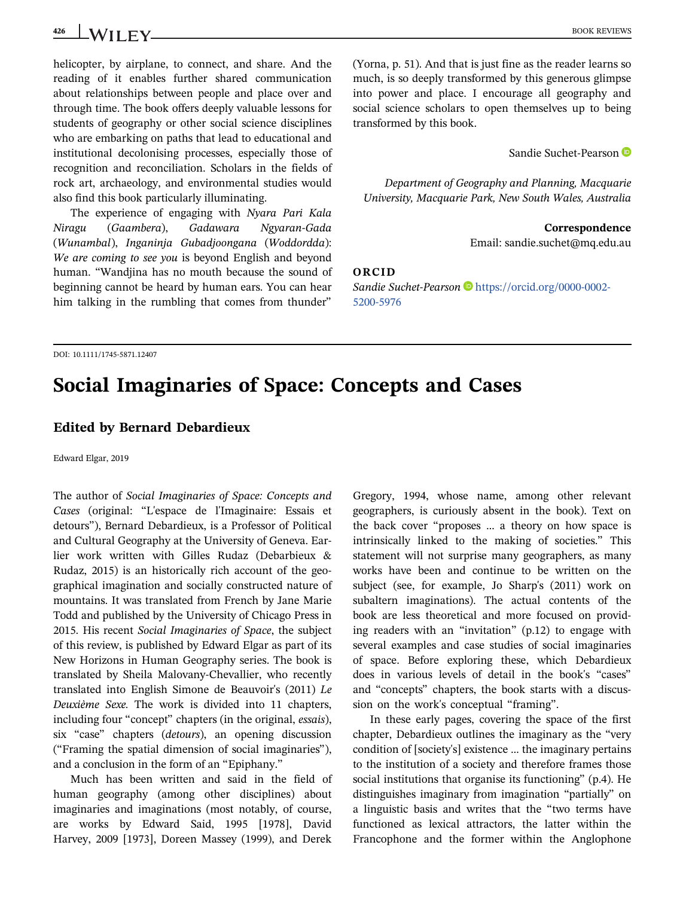# 426 WII FV **BOOK REVIEWS**

helicopter, by airplane, to connect, and share. And the reading of it enables further shared communication about relationships between people and place over and through time. The book offers deeply valuable lessons for students of geography or other social science disciplines who are embarking on paths that lead to educational and institutional decolonising processes, especially those of recognition and reconciliation. Scholars in the fields of rock art, archaeology, and environmental studies would also find this book particularly illuminating.

The experience of engaging with Nyara Pari Kala Niragu (Gaambera), Gadawara Ngyaran-Gada (Wunambal), Inganinja Gubadjoongana (Woddordda): We are coming to see you is beyond English and beyond human. "Wandjina has no mouth because the sound of beginning cannot be heard by human ears. You can hear him talking in the rumbling that comes from thunder"

(Yorna, p. 51). And that is just fine as the reader learns so much, is so deeply transformed by this generous glimpse into power and place. I encourage all geography and social science scholars to open themselves up to being transformed by this book.

Sandie Suchet-Pearson

Department of Geography and Planning, Macquarie University, Macquarie Park, New South Wales, Australia

> **Correspondence** Email: [sandie.suchet@mq.edu.au](mailto:sandie.suchet@mq.edu.au)

### ORCID

Sandie Suchet-Pearson D[https://orcid.org/0000-0002-](https://orcid.org/0000-0002-5200-5976) [5200-5976](https://orcid.org/0000-0002-5200-5976)

[DOI: 10.1111/1745-5871.12407](https://doi.org/10.1111/1745-5871.12407)

# Social Imaginaries of Space: Concepts and Cases

#### Edited by Bernard Debardieux

Edward Elgar, 2019

The author of Social Imaginaries of Space: Concepts and Cases (original: "L'espace de l'Imaginaire: Essais et detours"), Bernard Debardieux, is a Professor of Political and Cultural Geography at the University of Geneva. Earlier work written with Gilles Rudaz (Debarbieux & Rudaz, 2015) is an historically rich account of the geographical imagination and socially constructed nature of mountains. It was translated from French by Jane Marie Todd and published by the University of Chicago Press in 2015. His recent Social Imaginaries of Space, the subject of this review, is published by Edward Elgar as part of its New Horizons in Human Geography series. The book is translated by Sheila Malovany-Chevallier, who recently translated into English Simone de Beauvoir's (2011) Le Deuxième Sexe. The work is divided into 11 chapters, including four "concept" chapters (in the original, essais), six "case" chapters (detours), an opening discussion ("Framing the spatial dimension of social imaginaries"), and a conclusion in the form of an "Epiphany."

Much has been written and said in the field of human geography (among other disciplines) about imaginaries and imaginations (most notably, of course, are works by Edward Said, 1995 [1978], David Harvey, 2009 [1973], Doreen Massey (1999), and Derek

Gregory, 1994, whose name, among other relevant geographers, is curiously absent in the book). Text on the back cover "proposes … a theory on how space is intrinsically linked to the making of societies." This statement will not surprise many geographers, as many works have been and continue to be written on the subject (see, for example, Jo Sharp's (2011) work on subaltern imaginations). The actual contents of the book are less theoretical and more focused on providing readers with an "invitation" (p.12) to engage with several examples and case studies of social imaginaries of space. Before exploring these, which Debardieux does in various levels of detail in the book's "cases" and "concepts" chapters, the book starts with a discussion on the work's conceptual "framing".

In these early pages, covering the space of the first chapter, Debardieux outlines the imaginary as the "very condition of [society's] existence … the imaginary pertains to the institution of a society and therefore frames those social institutions that organise its functioning" (p.4). He distinguishes imaginary from imagination "partially" on a linguistic basis and writes that the "two terms have functioned as lexical attractors, the latter within the Francophone and the former within the Anglophone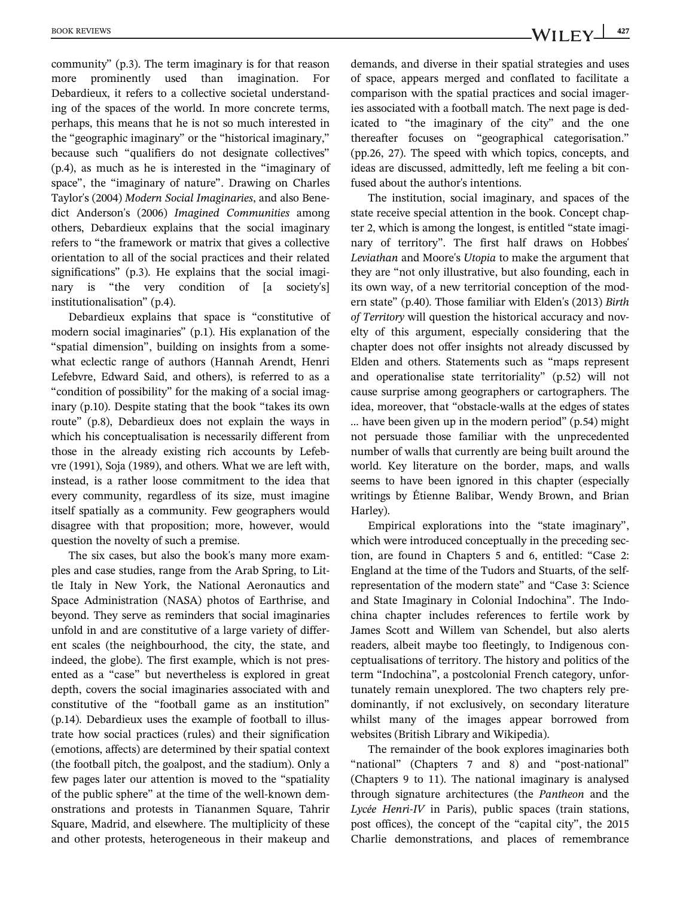community" (p.3). The term imaginary is for that reason more prominently used than imagination. For Debardieux, it refers to a collective societal understanding of the spaces of the world. In more concrete terms, perhaps, this means that he is not so much interested in the "geographic imaginary" or the "historical imaginary," because such "qualifiers do not designate collectives" (p.4), as much as he is interested in the "imaginary of space", the "imaginary of nature". Drawing on Charles Taylor's (2004) Modern Social Imaginaries, and also Benedict Anderson's (2006) Imagined Communities among others, Debardieux explains that the social imaginary refers to "the framework or matrix that gives a collective orientation to all of the social practices and their related significations" (p.3). He explains that the social imaginary is "the very condition of [a society's] institutionalisation" (p.4).

Debardieux explains that space is "constitutive of modern social imaginaries" (p.1). His explanation of the "spatial dimension", building on insights from a somewhat eclectic range of authors (Hannah Arendt, Henri Lefebvre, Edward Said, and others), is referred to as a "condition of possibility" for the making of a social imaginary (p.10). Despite stating that the book "takes its own route" (p.8), Debardieux does not explain the ways in which his conceptualisation is necessarily different from those in the already existing rich accounts by Lefebvre (1991), Soja (1989), and others. What we are left with, instead, is a rather loose commitment to the idea that every community, regardless of its size, must imagine itself spatially as a community. Few geographers would disagree with that proposition; more, however, would question the novelty of such a premise.

The six cases, but also the book's many more examples and case studies, range from the Arab Spring, to Little Italy in New York, the National Aeronautics and Space Administration (NASA) photos of Earthrise, and beyond. They serve as reminders that social imaginaries unfold in and are constitutive of a large variety of different scales (the neighbourhood, the city, the state, and indeed, the globe). The first example, which is not presented as a "case" but nevertheless is explored in great depth, covers the social imaginaries associated with and constitutive of the "football game as an institution" (p.14). Debardieux uses the example of football to illustrate how social practices (rules) and their signification (emotions, affects) are determined by their spatial context (the football pitch, the goalpost, and the stadium). Only a few pages later our attention is moved to the "spatiality of the public sphere" at the time of the well-known demonstrations and protests in Tiananmen Square, Tahrir Square, Madrid, and elsewhere. The multiplicity of these and other protests, heterogeneous in their makeup and demands, and diverse in their spatial strategies and uses of space, appears merged and conflated to facilitate a comparison with the spatial practices and social imageries associated with a football match. The next page is dedicated to "the imaginary of the city" and the one thereafter focuses on "geographical categorisation." (pp.26, 27). The speed with which topics, concepts, and ideas are discussed, admittedly, left me feeling a bit confused about the author's intentions.

The institution, social imaginary, and spaces of the state receive special attention in the book. Concept chapter 2, which is among the longest, is entitled "state imaginary of territory". The first half draws on Hobbes' Leviathan and Moore's Utopia to make the argument that they are "not only illustrative, but also founding, each in its own way, of a new territorial conception of the modern state" (p.40). Those familiar with Elden's (2013) Birth of Territory will question the historical accuracy and novelty of this argument, especially considering that the chapter does not offer insights not already discussed by Elden and others. Statements such as "maps represent and operationalise state territoriality" (p.52) will not cause surprise among geographers or cartographers. The idea, moreover, that "obstacle-walls at the edges of states … have been given up in the modern period" (p.54) might not persuade those familiar with the unprecedented number of walls that currently are being built around the world. Key literature on the border, maps, and walls seems to have been ignored in this chapter (especially writings by Étienne Balibar, Wendy Brown, and Brian Harley).

Empirical explorations into the "state imaginary", which were introduced conceptually in the preceding section, are found in Chapters 5 and 6, entitled: "Case 2: England at the time of the Tudors and Stuarts, of the selfrepresentation of the modern state" and "Case 3: Science and State Imaginary in Colonial Indochina". The Indochina chapter includes references to fertile work by James Scott and Willem van Schendel, but also alerts readers, albeit maybe too fleetingly, to Indigenous conceptualisations of territory. The history and politics of the term "Indochina", a postcolonial French category, unfortunately remain unexplored. The two chapters rely predominantly, if not exclusively, on secondary literature whilst many of the images appear borrowed from websites (British Library and Wikipedia).

The remainder of the book explores imaginaries both "national" (Chapters 7 and 8) and "post-national" (Chapters 9 to 11). The national imaginary is analysed through signature architectures (the Pantheon and the Lycée Henri-IV in Paris), public spaces (train stations, post offices), the concept of the "capital city", the 2015 Charlie demonstrations, and places of remembrance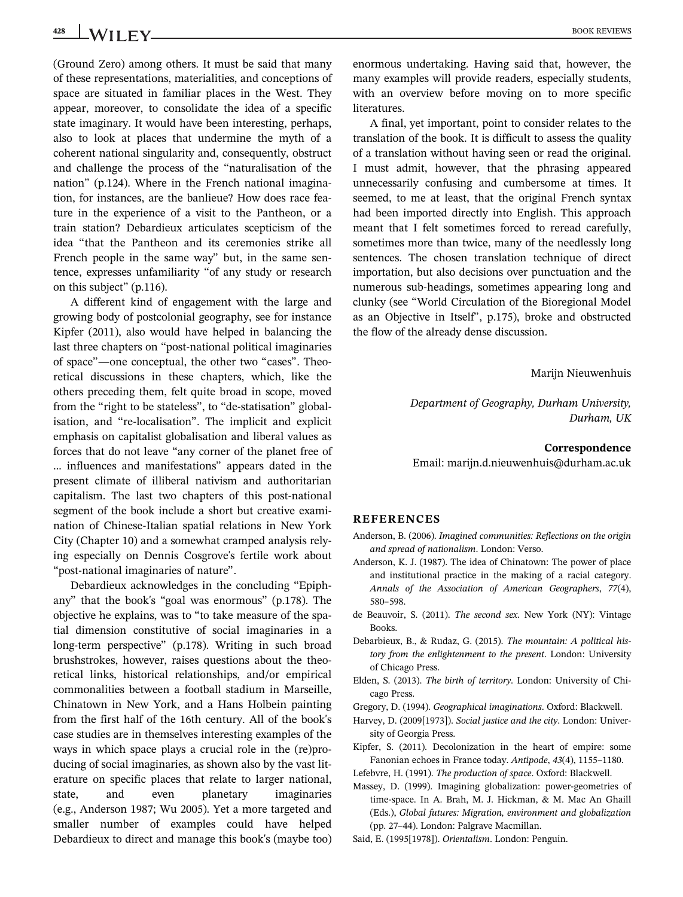(Ground Zero) among others. It must be said that many of these representations, materialities, and conceptions of space are situated in familiar places in the West. They appear, moreover, to consolidate the idea of a specific state imaginary. It would have been interesting, perhaps, also to look at places that undermine the myth of a coherent national singularity and, consequently, obstruct and challenge the process of the "naturalisation of the nation" (p.124). Where in the French national imagination, for instances, are the banlieue? How does race feature in the experience of a visit to the Pantheon, or a train station? Debardieux articulates scepticism of the idea "that the Pantheon and its ceremonies strike all French people in the same way" but, in the same sentence, expresses unfamiliarity "of any study or research on this subject" (p.116).

A different kind of engagement with the large and growing body of postcolonial geography, see for instance Kipfer (2011), also would have helped in balancing the last three chapters on "post-national political imaginaries of space"—one conceptual, the other two "cases". Theoretical discussions in these chapters, which, like the others preceding them, felt quite broad in scope, moved from the "right to be stateless", to "de-statisation" globalisation, and "re-localisation". The implicit and explicit emphasis on capitalist globalisation and liberal values as forces that do not leave "any corner of the planet free of … influences and manifestations" appears dated in the present climate of illiberal nativism and authoritarian capitalism. The last two chapters of this post-national segment of the book include a short but creative examination of Chinese-Italian spatial relations in New York City (Chapter 10) and a somewhat cramped analysis relying especially on Dennis Cosgrove's fertile work about "post-national imaginaries of nature".

Debardieux acknowledges in the concluding "Epiphany" that the book's "goal was enormous" (p.178). The objective he explains, was to "to take measure of the spatial dimension constitutive of social imaginaries in a long-term perspective" (p.178). Writing in such broad brushstrokes, however, raises questions about the theoretical links, historical relationships, and/or empirical commonalities between a football stadium in Marseille, Chinatown in New York, and a Hans Holbein painting from the first half of the 16th century. All of the book's case studies are in themselves interesting examples of the ways in which space plays a crucial role in the (re)producing of social imaginaries, as shown also by the vast literature on specific places that relate to larger national, state, and even planetary imaginaries (e.g., Anderson 1987; Wu 2005). Yet a more targeted and smaller number of examples could have helped Debardieux to direct and manage this book's (maybe too) enormous undertaking. Having said that, however, the many examples will provide readers, especially students, with an overview before moving on to more specific literatures.

A final, yet important, point to consider relates to the translation of the book. It is difficult to assess the quality of a translation without having seen or read the original. I must admit, however, that the phrasing appeared unnecessarily confusing and cumbersome at times. It seemed, to me at least, that the original French syntax had been imported directly into English. This approach meant that I felt sometimes forced to reread carefully, sometimes more than twice, many of the needlessly long sentences. The chosen translation technique of direct importation, but also decisions over punctuation and the numerous sub-headings, sometimes appearing long and clunky (see "World Circulation of the Bioregional Model as an Objective in Itself", p.175), broke and obstructed the flow of the already dense discussion.

Marijn Nieuwenhuis

Department of Geography, Durham University, Durham, UK

Correspondence

Email: marijn.d.nieuwenhuis@durham.ac.uk

#### REFERENCES

- Anderson, B. (2006). Imagined communities: Reflections on the origin and spread of nationalism. London: Verso.
- Anderson, K. J. (1987). The idea of Chinatown: The power of place and institutional practice in the making of a racial category. Annals of the Association of American Geographers, 77(4), 580–598.
- de Beauvoir, S. (2011). The second sex. New York (NY): Vintage Books.
- Debarbieux, B., & Rudaz, G. (2015). The mountain: A political history from the enlightenment to the present. London: University of Chicago Press.
- Elden, S. (2013). The birth of territory. London: University of Chicago Press.
- Gregory, D. (1994). Geographical imaginations. Oxford: Blackwell.
- Harvey, D. (2009[1973]). Social justice and the city. London: University of Georgia Press.
- Kipfer, S. (2011). Decolonization in the heart of empire: some Fanonian echoes in France today. Antipode, 43(4), 1155–1180.
- Lefebvre, H. (1991). The production of space. Oxford: Blackwell.
- Massey, D. (1999). Imagining globalization: power-geometries of time-space. In A. Brah, M. J. Hickman, & M. Mac An Ghaill (Eds.), Global futures: Migration, environment and globalization (pp. 27–44). London: Palgrave Macmillan.
- Said, E. (1995[1978]). Orientalism. London: Penguin.